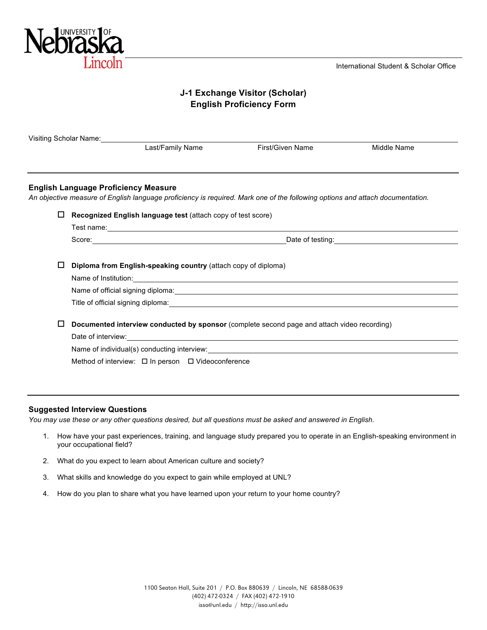

# **J-1 Exchange Visitor (Scholar) English Proficiency Form**

|   | Visiting Scholar Name: Visiting Scholar Name:                                                                                                                                                                                        |                  |                                                             |  |
|---|--------------------------------------------------------------------------------------------------------------------------------------------------------------------------------------------------------------------------------------|------------------|-------------------------------------------------------------|--|
|   | Last/Family Name                                                                                                                                                                                                                     | First/Given Name | Middle Name                                                 |  |
|   |                                                                                                                                                                                                                                      |                  |                                                             |  |
|   | <b>English Language Proficiency Measure</b>                                                                                                                                                                                          |                  |                                                             |  |
|   | An objective measure of English language proficiency is required. Mark one of the following options and attach documentation.                                                                                                        |                  |                                                             |  |
| □ | Recognized English language test (attach copy of test score)                                                                                                                                                                         |                  |                                                             |  |
|   | Test name: <u>contract the contract of the contract of the contract of the contract of the contract of the contract of the contract of the contract of the contract of the contract of the contract of the contract of the contr</u> |                  |                                                             |  |
|   |                                                                                                                                                                                                                                      |                  |                                                             |  |
|   |                                                                                                                                                                                                                                      |                  | Date of testing: <u>contained</u> and the state of testing: |  |
|   |                                                                                                                                                                                                                                      |                  |                                                             |  |
| ப | Diploma from English-speaking country (attach copy of diploma)                                                                                                                                                                       |                  |                                                             |  |
|   |                                                                                                                                                                                                                                      |                  |                                                             |  |
|   | Name of Institution: 1000 million and the Contract of the Contract of the Contract of the Contract of the Contract of the Contract of the Contract of the Contract of the Contract of the Contract of the Contract of the Cont       |                  |                                                             |  |
|   |                                                                                                                                                                                                                                      |                  |                                                             |  |
|   |                                                                                                                                                                                                                                      |                  |                                                             |  |
| □ | Documented interview conducted by sponsor (complete second page and attach video recording)                                                                                                                                          |                  |                                                             |  |
|   |                                                                                                                                                                                                                                      |                  |                                                             |  |
|   | Name of individual(s) conducting interview:<br>example: example: example: example: example: example: example: example: example: example: example: example: e                                                                         |                  |                                                             |  |

#### **Suggested Interview Questions**

*You may use these or any other questions desired, but all questions must be asked and answered in English.*

- 1. How have your past experiences, training, and language study prepared you to operate in an English-speaking environment in your occupational field?
- 2. What do you expect to learn about American culture and society?
- 3. What skills and knowledge do you expect to gain while employed at UNL?
- 4. How do you plan to share what you have learned upon your return to your home country?